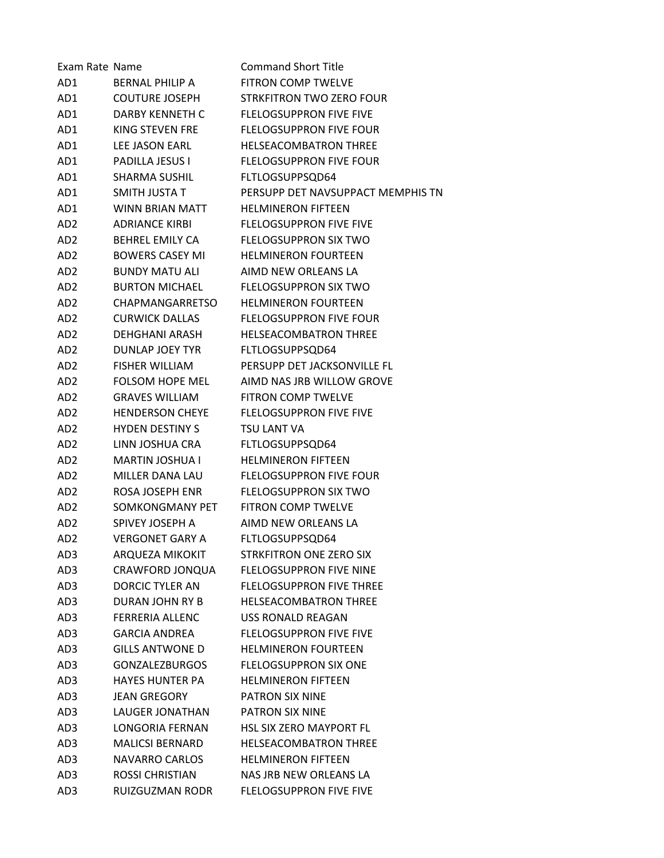| Exam Rate Name  |                        | <b>Command Short Title</b>        |
|-----------------|------------------------|-----------------------------------|
| AD1             | <b>BERNAL PHILIP A</b> | <b>FITRON COMP TWELVE</b>         |
| AD1             | <b>COUTURE JOSEPH</b>  | STRKFITRON TWO ZERO FOUR          |
| AD1             | DARBY KENNETH C        | <b>FLELOGSUPPRON FIVE FIVE</b>    |
| AD1             | KING STEVEN FRE        | <b>FLELOGSUPPRON FIVE FOUR</b>    |
| AD1             | LEE JASON EARL         | <b>HELSEACOMBATRON THREE</b>      |
| AD1             | <b>PADILLA JESUS I</b> | <b>FLELOGSUPPRON FIVE FOUR</b>    |
| AD1             | <b>SHARMA SUSHIL</b>   | FLTLOGSUPPSQD64                   |
| AD1             | SMITH JUSTA T          | PERSUPP DET NAVSUPPACT MEMPHIS TN |
| AD1             | WINN BRIAN MATT        | <b>HELMINERON FIFTEEN</b>         |
| AD2             | <b>ADRIANCE KIRBI</b>  | <b>FLELOGSUPPRON FIVE FIVE</b>    |
| AD2             | <b>BEHREL EMILY CA</b> | <b>FLELOGSUPPRON SIX TWO</b>      |
| AD2             | <b>BOWERS CASEY MI</b> | <b>HELMINERON FOURTEEN</b>        |
| AD <sub>2</sub> | <b>BUNDY MATU ALI</b>  | AIMD NEW ORLEANS LA               |
| AD <sub>2</sub> | <b>BURTON MICHAEL</b>  | <b>FLELOGSUPPRON SIX TWO</b>      |
| AD2             | CHAPMANGARRETSO        | <b>HELMINERON FOURTEEN</b>        |
| AD2             | <b>CURWICK DALLAS</b>  | <b>FLELOGSUPPRON FIVE FOUR</b>    |
| AD <sub>2</sub> | DEHGHANI ARASH         | <b>HELSEACOMBATRON THREE</b>      |
| AD <sub>2</sub> | DUNLAP JOEY TYR        | FLTLOGSUPPSQD64                   |
| AD <sub>2</sub> | <b>FISHER WILLIAM</b>  | PERSUPP DET JACKSONVILLE FL       |
| AD <sub>2</sub> | <b>FOLSOM HOPE MEL</b> | AIMD NAS JRB WILLOW GROVE         |
| AD2             | <b>GRAVES WILLIAM</b>  | <b>FITRON COMP TWELVE</b>         |
| AD2             | <b>HENDERSON CHEYE</b> | <b>FLELOGSUPPRON FIVE FIVE</b>    |
| AD <sub>2</sub> | <b>HYDEN DESTINY S</b> | <b>TSU LANT VA</b>                |
| AD <sub>2</sub> | LINN JOSHUA CRA        | FLTLOGSUPPSQD64                   |
| AD <sub>2</sub> | MARTIN JOSHUA I        | <b>HELMINERON FIFTEEN</b>         |
| AD2             | MILLER DANA LAU        | FLELOGSUPPRON FIVE FOUR           |
| AD2             | ROSA JOSEPH ENR        | <b>FLELOGSUPPRON SIX TWO</b>      |
| AD2             | SOMKONGMANY PET        | <b>FITRON COMP TWELVE</b>         |
| AD2             | SPIVEY JOSEPH A        | AIMD NEW ORLEANS LA               |
| AD <sub>2</sub> | <b>VERGONET GARY A</b> | FLTLOGSUPPSQD64                   |
| AD3             | ARQUEZA MIKOKIT        | <b>STRKFITRON ONE ZERO SIX</b>    |
| AD3             | CRAWFORD JONQUA        | <b>FLELOGSUPPRON FIVE NINE</b>    |
| AD3             | <b>DORCIC TYLER AN</b> | <b>FLELOGSUPPRON FIVE THREE</b>   |
| AD3             | DURAN JOHN RY B        | <b>HELSEACOMBATRON THREE</b>      |
| AD3             | <b>FERRERIA ALLENC</b> | <b>USS RONALD REAGAN</b>          |
| AD3             | <b>GARCIA ANDRFA</b>   | <b>FLELOGSUPPRON FIVE FIVE</b>    |
| AD3             | <b>GILLS ANTWONE D</b> | <b>HELMINERON FOURTEEN</b>        |
| AD3             | <b>GONZALEZBURGOS</b>  | <b>FLELOGSUPPRON SIX ONE</b>      |
| AD3             | <b>HAYES HUNTER PA</b> | <b>HELMINERON FIFTEEN</b>         |
| AD3             | JEAN GREGORY           | PATRON SIX NINE                   |
| AD3             | LAUGER JONATHAN        | PATRON SIX NINE                   |
| AD3             | LONGORIA FERNAN        | <b>HSL SIX ZERO MAYPORT FL</b>    |
| AD3             | <b>MALICSI BERNARD</b> | <b>HELSEACOMBATRON THREE</b>      |
| AD3             | <b>NAVARRO CARLOS</b>  | <b>HELMINERON FIFTEEN</b>         |
| AD3             | <b>ROSSI CHRISTIAN</b> | NAS JRB NEW ORLEANS LA            |
| AD3             | RUIZGUZMAN RODR        | <b>FLELOGSUPPRON FIVE FIVE</b>    |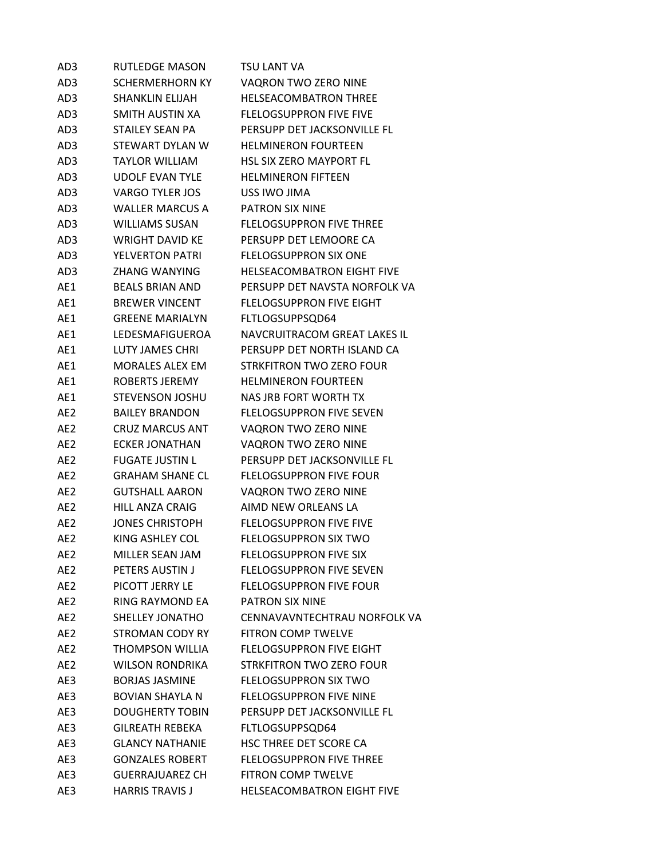| AD3             | <b>RUTLEDGE MASON</b>  | TSU LANT VA                       |
|-----------------|------------------------|-----------------------------------|
| AD3             | SCHERMERHORN KY        | VAQRON TWO ZERO NINE              |
| AD3             | <b>SHANKLIN ELIJAH</b> | HELSEACOMBATRON THREE             |
| AD3             | SMITH AUSTIN XA        | <b>FLELOGSUPPRON FIVE FIVE</b>    |
| AD3             | <b>STAILEY SEAN PA</b> | PERSUPP DET JACKSONVILLE FL       |
| AD3             | STEWART DYLAN W        | <b>HELMINERON FOURTEEN</b>        |
| AD3             | TAYLOR WILLIAM         | <b>HSL SIX ZERO MAYPORT FL</b>    |
| AD3             | <b>UDOLF EVAN TYLE</b> | <b>HELMINERON FIFTEEN</b>         |
| AD3             | <b>VARGO TYLER JOS</b> | USS IWO JIMA                      |
| AD3             | <b>WALLER MARCUS A</b> | PATRON SIX NINE                   |
| AD3             | <b>WILLIAMS SUSAN</b>  | <b>FLELOGSUPPRON FIVE THREE</b>   |
| AD3             | WRIGHT DAVID KE        | PERSUPP DET LEMOORE CA            |
| AD3             | <b>YELVERTON PATRI</b> | <b>FLELOGSUPPRON SIX ONE</b>      |
| AD3             | <b>ZHANG WANYING</b>   | <b>HELSEACOMBATRON EIGHT FIVE</b> |
| AE1             | <b>BEALS BRIAN AND</b> | PERSUPP DET NAVSTA NORFOLK VA     |
| AE1             | <b>BREWER VINCENT</b>  | <b>FLELOGSUPPRON FIVE EIGHT</b>   |
| AE1             | <b>GREENE MARIALYN</b> | FLTLOGSUPPSQD64                   |
| AE1             | LEDESMAFIGUEROA        | NAVCRUITRACOM GREAT LAKES IL      |
| AE1             | LUTY JAMES CHRI        | PERSUPP DET NORTH ISLAND CA       |
| AE1             | <b>MORALES ALEX EM</b> | STRKFITRON TWO ZERO FOUR          |
| AE1             | ROBERTS JEREMY         | <b>HELMINERON FOURTEEN</b>        |
| AE1             | <b>STEVENSON JOSHU</b> | NAS JRB FORT WORTH TX             |
| AE <sub>2</sub> | <b>BAILEY BRANDON</b>  | <b>FLELOGSUPPRON FIVE SEVEN</b>   |
| AE <sub>2</sub> | <b>CRUZ MARCUS ANT</b> | VAQRON TWO ZERO NINE              |
| AE <sub>2</sub> | <b>ECKER JONATHAN</b>  | VAQRON TWO ZERO NINE              |
| AE <sub>2</sub> | <b>FUGATE JUSTIN L</b> | PERSUPP DET JACKSONVILLE FL       |
| AE <sub>2</sub> | <b>GRAHAM SHANE CL</b> | <b>FLELOGSUPPRON FIVE FOUR</b>    |
| AE <sub>2</sub> | <b>GUTSHALL AARON</b>  | VAQRON TWO ZERO NINE              |
| AE <sub>2</sub> | <b>HILL ANZA CRAIG</b> | AIMD NEW ORLEANS LA               |
| AE <sub>2</sub> | <b>JONES CHRISTOPH</b> | <b>FLELOGSUPPRON FIVE FIVE</b>    |
| AE <sub>2</sub> | KING ASHLEY COL        | <b>FLELOGSUPPRON SIX TWO</b>      |
| AE2             | MILLER SEAN JAM        | <b>FLELOGSUPPRON FIVE SIX</b>     |
| AE2             | PETERS AUSTIN J        | <b>FLELOGSUPPRON FIVE SEVEN</b>   |
| AE2             | PICOTT JERRY LE        | <b>FLELOGSUPPRON FIVE FOUR</b>    |
| AE2             | <b>RING RAYMOND EA</b> | <b>PATRON SIX NINE</b>            |
| AE <sub>2</sub> | SHELLEY JONATHO        | CENNAVAVNTECHTRAU NORFOLK VA      |
| AE2             | <b>STROMAN CODY RY</b> | <b>FITRON COMP TWELVE</b>         |
| AE <sub>2</sub> | THOMPSON WILLIA        | <b>FLELOGSUPPRON FIVE EIGHT</b>   |
| AE <sub>2</sub> | <b>WILSON RONDRIKA</b> | STRKFITRON TWO ZERO FOUR          |
| AE3             | <b>BORJAS JASMINE</b>  | <b>FLELOGSUPPRON SIX TWO</b>      |
| AE3             | <b>BOVIAN SHAYLA N</b> | <b>FLELOGSUPPRON FIVE NINE</b>    |
| AE3             | <b>DOUGHERTY TOBIN</b> | PERSUPP DET JACKSONVILLE FL       |
| AE3             | <b>GILREATH REBEKA</b> | FLTLOGSUPPSQD64                   |
| AE3             | <b>GLANCY NATHANIE</b> | HSC THREE DET SCORE CA            |
| AE3             | <b>GONZALES ROBERT</b> | <b>FLELOGSUPPRON FIVE THREE</b>   |
| AE3             | <b>GUERRAJUAREZ CH</b> | FITRON COMP TWELVE                |
| AE3             | <b>HARRIS TRAVIS J</b> | HELSEACOMBATRON EIGHT FIVE        |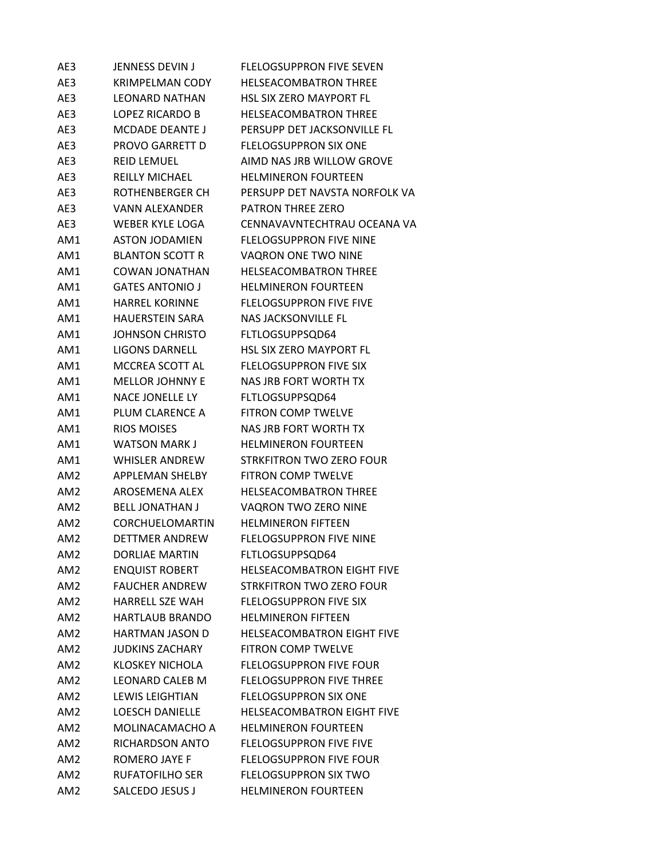| AE3             | JENNESS DEVIN J        | <b>FLELOGSUPPRON FIVE SEVEN</b>   |
|-----------------|------------------------|-----------------------------------|
| AE3             | <b>KRIMPELMAN CODY</b> | <b>HELSEACOMBATRON THREE</b>      |
| AE3             | <b>LEONARD NATHAN</b>  | <b>HSL SIX ZERO MAYPORT FL</b>    |
| AE3             | LOPEZ RICARDO B        | <b>HELSEACOMBATRON THREE</b>      |
| AE3             | <b>MCDADE DEANTE J</b> | PERSUPP DET JACKSONVILLE FL       |
| AE3             | PROVO GARRETT D        | <b>FLELOGSUPPRON SIX ONE</b>      |
| AE3             | <b>REID LEMUEL</b>     | AIMD NAS JRB WILLOW GROVE         |
| AE3             | <b>REILLY MICHAEL</b>  | <b>HELMINERON FOURTEEN</b>        |
| AE3             | ROTHENBERGER CH        | PERSUPP DET NAVSTA NORFOLK VA     |
| AE3             | VANN ALEXANDER         | <b>PATRON THREE ZERO</b>          |
| AE3             | WEBER KYLE LOGA        | CENNAVAVNTECHTRAU OCEANA VA       |
| AM1             | <b>ASTON JODAMIEN</b>  | <b>FLELOGSUPPRON FIVE NINE</b>    |
| AM1             | <b>BLANTON SCOTT R</b> | VAQRON ONE TWO NINE               |
| AM1             | <b>COWAN JONATHAN</b>  | <b>HELSEACOMBATRON THREE</b>      |
| AM1             | <b>GATES ANTONIO J</b> | <b>HELMINERON FOURTEEN</b>        |
| AM1             | <b>HARREL KORINNE</b>  | <b>FLELOGSUPPRON FIVE FIVE</b>    |
| AM1             | <b>HAUERSTEIN SARA</b> | NAS JACKSONVILLE FL               |
| AM1             | JOHNSON CHRISTO        | FLTLOGSUPPSQD64                   |
| AM1             | <b>LIGONS DARNELL</b>  | <b>HSL SIX ZERO MAYPORT FL</b>    |
| AM1             | MCCREA SCOTT AL        | <b>FLELOGSUPPRON FIVE SIX</b>     |
| AM1             | <b>MELLOR JOHNNY E</b> | NAS JRB FORT WORTH TX             |
| AM1             | NACE JONELLE LY        | FLTLOGSUPPSQD64                   |
| AM1             | PLUM CLARENCE A        | <b>FITRON COMP TWELVE</b>         |
| AM1             | <b>RIOS MOISES</b>     | NAS JRB FORT WORTH TX             |
| AM1             | <b>WATSON MARK J</b>   | <b>HELMINERON FOURTEEN</b>        |
| AM1             | <b>WHISLER ANDREW</b>  | STRKFITRON TWO ZERO FOUR          |
| AM <sub>2</sub> | APPLEMAN SHELBY        | <b>FITRON COMP TWELVE</b>         |
| AM <sub>2</sub> | AROSEMENA ALEX         | <b>HELSEACOMBATRON THREE</b>      |
| AM2             | <b>BELL JONATHAN J</b> | VAQRON TWO ZERO NINE              |
| AM <sub>2</sub> | <b>CORCHUELOMARTIN</b> | <b>HELMINERON FIFTEEN</b>         |
| AM <sub>2</sub> | <b>DETTMER ANDREW</b>  | <b>FLELOGSUPPRON FIVE NINE</b>    |
| AM <sub>2</sub> | <b>DORLIAE MARTIN</b>  | FLTLOGSUPPSQD64                   |
| AM <sub>2</sub> | <b>ENQUIST ROBERT</b>  | <b>HELSEACOMBATRON EIGHT FIVE</b> |
| AM <sub>2</sub> | <b>FAUCHER ANDREW</b>  | STRKFITRON TWO ZERO FOUR          |
| AM2             | <b>HARRELL SZE WAH</b> | <b>FLELOGSUPPRON FIVE SIX</b>     |
| AM <sub>2</sub> | <b>HARTLAUB BRANDO</b> | <b>HELMINERON FIFTEEN</b>         |
| AM2             | <b>HARTMAN JASON D</b> | <b>HELSEACOMBATRON EIGHT FIVE</b> |
| AM <sub>2</sub> | <b>JUDKINS ZACHARY</b> | <b>FITRON COMP TWELVE</b>         |
| AM <sub>2</sub> | <b>KLOSKEY NICHOLA</b> | <b>FLELOGSUPPRON FIVE FOUR</b>    |
| AM <sub>2</sub> | <b>LEONARD CALEB M</b> | <b>FLELOGSUPPRON FIVE THREE</b>   |
| AM <sub>2</sub> | LEWIS LEIGHTIAN        | <b>FLELOGSUPPRON SIX ONE</b>      |
| AM <sub>2</sub> | <b>LOESCH DANIELLE</b> | <b>HELSEACOMBATRON EIGHT FIVE</b> |
| AM <sub>2</sub> | MOLINACAMACHO A        | <b>HELMINERON FOURTEEN</b>        |
| AM2             | RICHARDSON ANTO        | <b>FLELOGSUPPRON FIVE FIVE</b>    |
| AM <sub>2</sub> | ROMERO JAYE F          | <b>FLELOGSUPPRON FIVE FOUR</b>    |
| AM <sub>2</sub> | <b>RUFATOFILHO SER</b> | <b>FLELOGSUPPRON SIX TWO</b>      |
| AM <sub>2</sub> | SALCEDO JESUS J        | <b>HELMINERON FOURTEEN</b>        |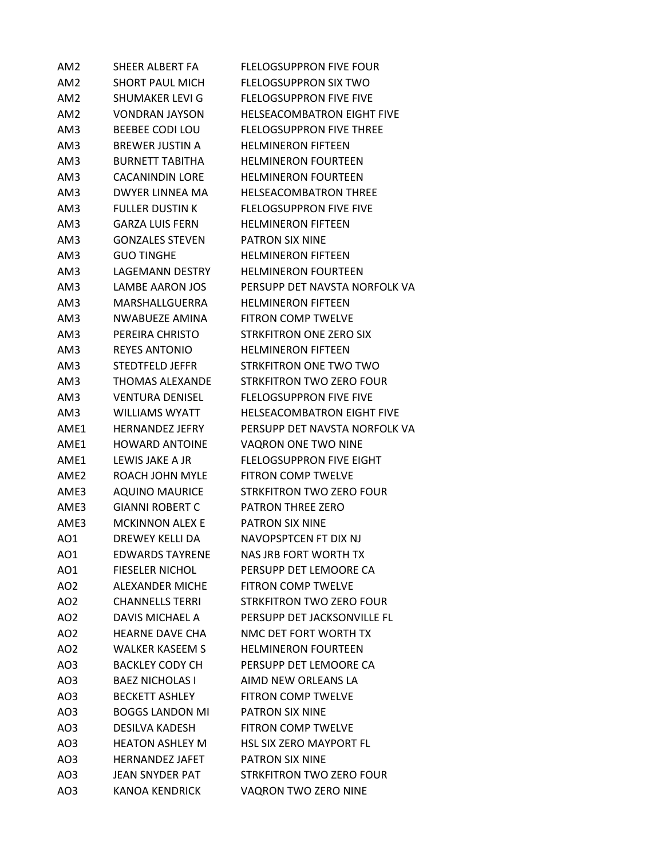| AM2              | SHEER ALBERT FA        | <b>FLELOGSUPPRON FIVE FOUR</b>    |  |
|------------------|------------------------|-----------------------------------|--|
| AM <sub>2</sub>  | <b>SHORT PAUL MICH</b> | <b>FLELOGSUPPRON SIX TWO</b>      |  |
| AM <sub>2</sub>  | SHUMAKER LEVI G        | <b>FLELOGSUPPRON FIVE FIVE</b>    |  |
| AM <sub>2</sub>  | <b>VONDRAN JAYSON</b>  | <b>HELSEACOMBATRON EIGHT FIVE</b> |  |
| AM3              | <b>BEEBEE CODI LOU</b> | <b>FLELOGSUPPRON FIVE THREE</b>   |  |
| AM3              | <b>BREWER JUSTIN A</b> | <b>HELMINERON FIFTEEN</b>         |  |
| AM3              | <b>BURNETT TABITHA</b> | <b>HELMINERON FOURTEEN</b>        |  |
| AM3              | <b>CACANINDIN LORE</b> | <b>HELMINERON FOURTEEN</b>        |  |
| AM3              | DWYER LINNEA MA        | <b>HELSEACOMBATRON THREE</b>      |  |
| AM3              | <b>FULLER DUSTIN K</b> | <b>FLELOGSUPPRON FIVE FIVE</b>    |  |
| AM3              | <b>GARZA LUIS FERN</b> | <b>HELMINERON FIFTEEN</b>         |  |
| AM3              | <b>GONZALES STEVEN</b> | <b>PATRON SIX NINE</b>            |  |
| AM3              | <b>GUO TINGHE</b>      | <b>HELMINERON FIFTEEN</b>         |  |
| AM3              | <b>LAGEMANN DESTRY</b> | <b>HELMINERON FOURTEEN</b>        |  |
| AM3              | <b>LAMBE AARON JOS</b> | PERSUPP DET NAVSTA NORFOLK VA     |  |
| AM3              | MARSHALLGUERRA         | <b>HELMINERON FIFTEEN</b>         |  |
| AM3              | NWABUEZE AMINA         | <b>FITRON COMP TWELVE</b>         |  |
| AM3              | PEREIRA CHRISTO        | <b>STRKFITRON ONE ZERO SIX</b>    |  |
| AM3              | <b>REYES ANTONIO</b>   | <b>HELMINERON FIFTEEN</b>         |  |
| AM3              | STEDTFELD JEFFR        | STRKFITRON ONE TWO TWO            |  |
| AM3              | THOMAS ALEXANDE        | STRKFITRON TWO ZERO FOUR          |  |
| AM3              | <b>VENTURA DENISEL</b> | <b>FLELOGSUPPRON FIVE FIVE</b>    |  |
| AM3              | <b>WILLIAMS WYATT</b>  | <b>HELSEACOMBATRON EIGHT FIVE</b> |  |
| AME1             | <b>HERNANDEZ JEFRY</b> | PERSUPP DET NAVSTA NORFOLK VA     |  |
| AME1             | <b>HOWARD ANTOINE</b>  | <b>VAQRON ONE TWO NINE</b>        |  |
| AME1             | LEWIS JAKE A JR        | <b>FLELOGSUPPRON FIVE EIGHT</b>   |  |
| AME <sub>2</sub> | ROACH JOHN MYLE        | <b>FITRON COMP TWELVE</b>         |  |
| AME3             | <b>AQUINO MAURICE</b>  | STRKFITRON TWO ZERO FOUR          |  |
| AME3             | <b>GIANNI ROBERT C</b> | PATRON THREE ZERO                 |  |
| AME3             | <b>MCKINNON ALEX E</b> | <b>PATRON SIX NINE</b>            |  |
| AO1              | <b>DREWEY KELLI DA</b> | NAVOPSPTCEN FT DIX NJ             |  |
| AO1              | <b>EDWARDS TAYRENE</b> | <b>NAS JRB FORT WORTH TX</b>      |  |
| AO1              | <b>FIESELER NICHOL</b> | PERSUPP DET LEMOORE CA            |  |
| AO <sub>2</sub>  | <b>ALEXANDER MICHE</b> | FITRON COMP TWELVE                |  |
| AO <sub>2</sub>  | <b>CHANNELLS TERRI</b> | <b>STRKFITRON TWO ZERO FOUR</b>   |  |
| AO <sub>2</sub>  | <b>DAVIS MICHAEL A</b> | PERSUPP DET JACKSONVILLE FL       |  |
| AO2              | <b>HFARNF DAVF CHA</b> | NMC DET FORT WORTH TX             |  |
| AO <sub>2</sub>  | <b>WALKER KASEEM S</b> | <b>HELMINERON FOURTEEN</b>        |  |
| AO3              | <b>BACKLEY CODY CH</b> | PERSUPP DET LEMOORE CA            |  |
| AO3              | <b>BAEZ NICHOLAS I</b> | AIMD NEW ORLEANS LA               |  |
| AO3              | <b>BECKETT ASHLEY</b>  | FITRON COMP TWELVE                |  |
| AO3              | <b>BOGGS LANDON MI</b> | PATRON SIX NINE                   |  |
| AO3              | <b>DESILVA KADESH</b>  | <b>FITRON COMP TWELVE</b>         |  |
| AO3              | <b>HEATON ASHLEY M</b> | <b>HSL SIX ZERO MAYPORT FL</b>    |  |
| AO3              | <b>HERNANDEZ JAFET</b> | PATRON SIX NINE                   |  |
| AO3              | JEAN SNYDER PAT        | STRKFITRON TWO ZERO FOUR          |  |
| AO3              | KANOA KENDRICK         | VAQRON TWO ZERO NINE              |  |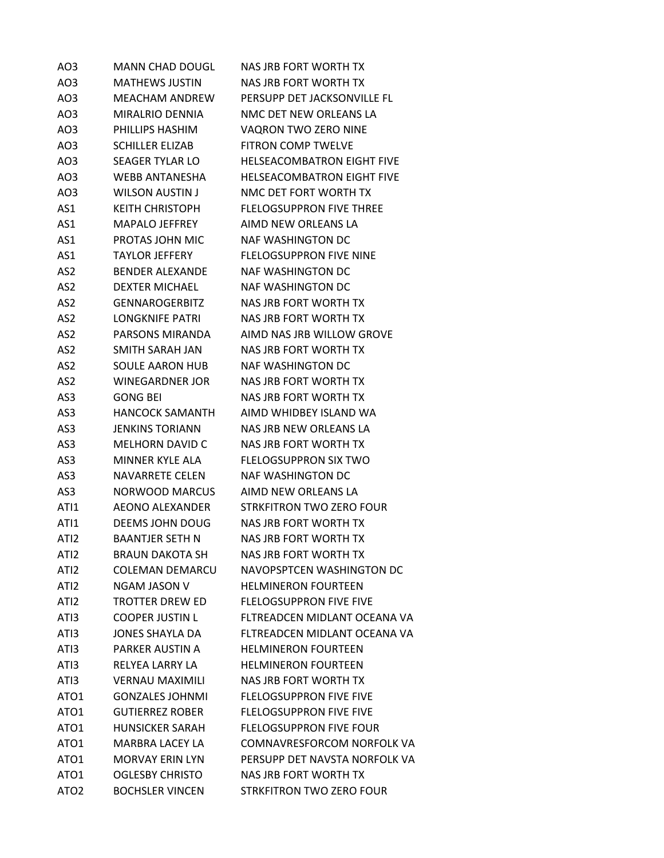| AO3              | <b>MANN CHAD DOUGL</b> | NAS JRB FORT WORTH TX             |
|------------------|------------------------|-----------------------------------|
| AO <sub>3</sub>  | <b>MATHEWS JUSTIN</b>  | NAS JRB FORT WORTH TX             |
| AO3              | <b>MEACHAM ANDREW</b>  | PERSUPP DET JACKSONVILLE FL       |
| AO3              | MIRALRIO DENNIA        | NMC DET NEW ORLEANS LA            |
| AO3              | PHILLIPS HASHIM        | VAQRON TWO ZERO NINE              |
| AO3              | <b>SCHILLER ELIZAB</b> | <b>FITRON COMP TWELVE</b>         |
| AO3              | SEAGER TYLAR LO        | <b>HELSEACOMBATRON EIGHT FIVE</b> |
| AO3              | <b>WEBB ANTANESHA</b>  | <b>HELSEACOMBATRON EIGHT FIVE</b> |
| AO3              | WILSON AUSTIN J        | NMC DET FORT WORTH TX             |
| AS1              | <b>KEITH CHRISTOPH</b> | <b>FLELOGSUPPRON FIVE THREE</b>   |
| AS1              | <b>MAPALO JEFFREY</b>  | AIMD NEW ORLEANS LA               |
| AS1              | PROTAS JOHN MIC        | NAF WASHINGTON DC                 |
| AS1              | <b>TAYLOR JEFFERY</b>  | <b>FLELOGSUPPRON FIVE NINE</b>    |
| AS <sub>2</sub>  | <b>BENDER ALEXANDE</b> | <b>NAF WASHINGTON DC</b>          |
| AS <sub>2</sub>  | <b>DEXTER MICHAEL</b>  | <b>NAF WASHINGTON DC</b>          |
| AS2              | <b>GENNAROGERBITZ</b>  | NAS JRB FORT WORTH TX             |
| AS2              | LONGKNIFE PATRI        | NAS JRB FORT WORTH TX             |
| AS <sub>2</sub>  | PARSONS MIRANDA        | AIMD NAS JRB WILLOW GROVE         |
| AS2              | SMITH SARAH JAN        | NAS JRB FORT WORTH TX             |
| AS <sub>2</sub>  | <b>SOULE AARON HUB</b> | NAF WASHINGTON DC                 |
| AS <sub>2</sub>  | WINEGARDNER JOR        | NAS JRB FORT WORTH TX             |
| AS3              | <b>GONG BEI</b>        | NAS JRB FORT WORTH TX             |
| AS3              | <b>HANCOCK SAMANTH</b> | AIMD WHIDBEY ISLAND WA            |
| AS3              | <b>JENKINS TORIANN</b> | NAS JRB NEW ORLEANS LA            |
| AS3              | <b>MELHORN DAVID C</b> | NAS JRB FORT WORTH TX             |
| AS3              | MINNER KYLE ALA        | <b>FLELOGSUPPRON SIX TWO</b>      |
| AS3              | NAVARRETE CELEN        | NAF WASHINGTON DC                 |
| AS3              | <b>NORWOOD MARCUS</b>  | AIMD NEW ORLEANS LA               |
| ATI1             | AEONO ALEXANDER        | STRKFITRON TWO ZERO FOUR          |
| ATI1             | DEEMS JOHN DOUG        | NAS JRB FORT WORTH TX             |
| ATI <sub>2</sub> | <b>BAANTJER SETH N</b> | NAS JRB FORT WORTH TX             |
| ATI <sub>2</sub> | <b>BRAUN DAKOTA SH</b> | <b>NAS JRB FORT WORTH TX</b>      |
| ATI <sub>2</sub> | <b>COLEMAN DEMARCU</b> | NAVOPSPTCEN WASHINGTON DC         |
| ATI <sub>2</sub> | NGAM JASON V           | <b>HELMINERON FOURTEEN</b>        |
| ATI <sub>2</sub> | TROTTER DREW ED        | <b>FLELOGSUPPRON FIVE FIVE</b>    |
| ATI3             | <b>COOPER JUSTIN L</b> | FLTREADCEN MIDLANT OCEANA VA      |
| ATI3             | <b>JONES SHAYLA DA</b> | FLTREADCEN MIDLANT OCEANA VA      |
| ATI3             | PARKER AUSTIN A        | <b>HELMINERON FOURTEEN</b>        |
| ATI3             | RELYEA LARRY LA        | <b>HELMINERON FOURTEEN</b>        |
| ATI3             | <b>VERNAU MAXIMILI</b> | NAS JRB FORT WORTH TX             |
| ATO <sub>1</sub> | <b>GONZALES JOHNMI</b> | <b>FLELOGSUPPRON FIVE FIVE</b>    |
| ATO1             | <b>GUTIERREZ ROBER</b> | <b>FLELOGSUPPRON FIVE FIVE</b>    |
| ATO <sub>1</sub> | <b>HUNSICKER SARAH</b> | <b>FLELOGSUPPRON FIVE FOUR</b>    |
| ATO <sub>1</sub> | MARBRA LACEY LA        | <b>COMNAVRESFORCOM NORFOLK VA</b> |
| ATO <sub>1</sub> | <b>MORVAY ERIN LYN</b> | PERSUPP DET NAVSTA NORFOLK VA     |
| ATO1             | <b>OGLESBY CHRISTO</b> | NAS JRB FORT WORTH TX             |
| ATO <sub>2</sub> | <b>BOCHSLER VINCEN</b> | STRKFITRON TWO ZERO FOUR          |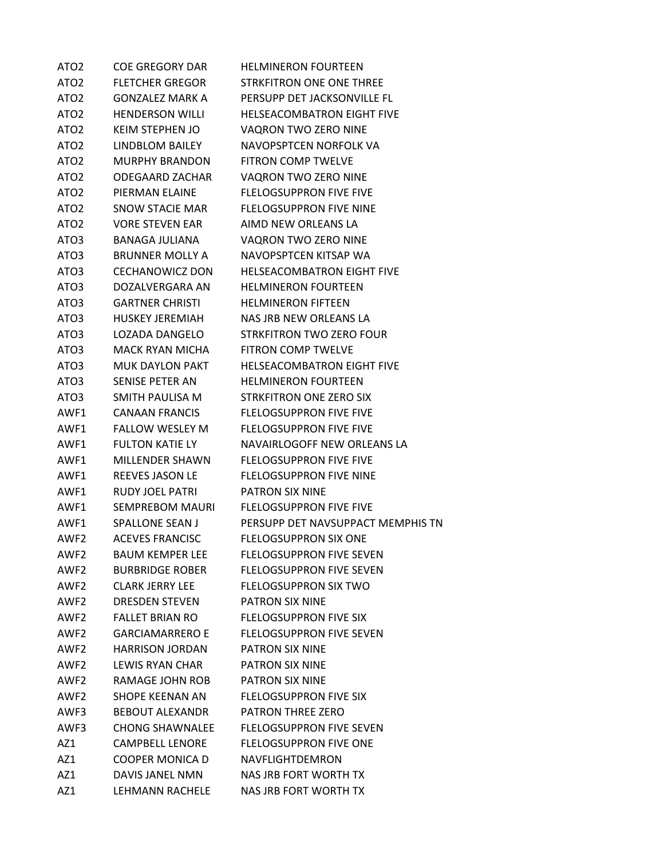| ATO <sub>2</sub> | <b>COE GREGORY DAR</b> | <b>HELMINERON FOURTEEN</b>        |
|------------------|------------------------|-----------------------------------|
| ATO <sub>2</sub> | <b>FLETCHER GREGOR</b> | STRKFITRON ONE ONE THREE          |
| ATO <sub>2</sub> | <b>GONZALEZ MARK A</b> | PERSUPP DET JACKSONVILLE FL       |
| ATO <sub>2</sub> | <b>HENDERSON WILLI</b> | <b>HELSEACOMBATRON EIGHT FIVE</b> |
| ATO <sub>2</sub> | KEIM STEPHEN JO        | VAQRON TWO ZERO NINE              |
| ATO <sub>2</sub> | LINDBLOM BAILEY        | NAVOPSPTCEN NORFOLK VA            |
| ATO <sub>2</sub> | <b>MURPHY BRANDON</b>  | <b>FITRON COMP TWELVE</b>         |
| ATO <sub>2</sub> | <b>ODEGAARD ZACHAR</b> | VAQRON TWO ZERO NINE              |
| ATO <sub>2</sub> | PIERMAN ELAINE         | <b>FLELOGSUPPRON FIVE FIVE</b>    |
| ATO <sub>2</sub> | <b>SNOW STACIE MAR</b> | <b>FLELOGSUPPRON FIVE NINE</b>    |
| ATO <sub>2</sub> | <b>VORE STEVEN EAR</b> | AIMD NEW ORLEANS LA               |
| ATO3             | BANAGA JULIANA         | VAQRON TWO ZERO NINE              |
| ATO3             | <b>BRUNNER MOLLY A</b> | NAVOPSPTCEN KITSAP WA             |
| ATO3             | <b>CECHANOWICZ DON</b> | <b>HELSEACOMBATRON EIGHT FIVE</b> |
| ATO3             | DOZALVERGARA AN        | <b>HELMINERON FOURTEEN</b>        |
| ATO3             | <b>GARTNER CHRISTI</b> | <b>HELMINERON FIFTEEN</b>         |
| ATO3             | <b>HUSKEY JEREMIAH</b> | NAS JRB NEW ORLEANS LA            |
| ATO3             | LOZADA DANGELO         | <b>STRKFITRON TWO ZERO FOUR</b>   |
| ATO3             | MACK RYAN MICHA        | FITRON COMP TWELVE                |
| ATO3             | MUK DAYLON PAKT        | <b>HELSEACOMBATRON EIGHT FIVE</b> |
| ATO3             | SENISE PETER AN        | <b>HELMINERON FOURTEEN</b>        |
| ATO3             | SMITH PAULISA M        | STRKFITRON ONE ZERO SIX           |
| AWF1             | <b>CANAAN FRANCIS</b>  | <b>FLELOGSUPPRON FIVE FIVE</b>    |
| AWF1             | <b>FALLOW WESLEY M</b> | <b>FLELOGSUPPRON FIVE FIVE</b>    |
| AWF1             | <b>FULTON KATIE LY</b> | NAVAIRLOGOFF NEW ORLEANS LA       |
| AWF1             | <b>MILLENDER SHAWN</b> | <b>FLELOGSUPPRON FIVE FIVE</b>    |
| AWF1             | <b>REEVES JASON LE</b> | <b>FLELOGSUPPRON FIVE NINE</b>    |
| AWF1             | <b>RUDY JOEL PATRI</b> | PATRON SIX NINE                   |
| AWF1             | SEMPREBOM MAURI        | <b>FLELOGSUPPRON FIVE FIVE</b>    |
| AWF1             | <b>SPALLONE SEAN J</b> | PERSUPP DET NAVSUPPACT MEMPHIS TN |
| AWF <sub>2</sub> | <b>ACEVES FRANCISC</b> | <b>FLELOGSUPPRON SIX ONE</b>      |
| AWF2             | <b>BAUM KEMPER LEE</b> | <b>FLELOGSUPPRON FIVE SEVEN</b>   |
| AWF2             | <b>BURBRIDGE ROBER</b> | <b>FLELOGSUPPRON FIVE SEVEN</b>   |
| AWF2             | <b>CLARK JERRY LEE</b> | <b>FLELOGSUPPRON SIX TWO</b>      |
| AWF2             | <b>DRESDEN STEVEN</b>  | PATRON SIX NINE                   |
| AWF <sub>2</sub> | <b>FALLET BRIAN RO</b> | <b>FLELOGSUPPRON FIVE SIX</b>     |
| AWF2             | <b>GARCIAMARRERO F</b> | <b>FLELOGSUPPRON FIVE SEVEN</b>   |
| AWF2             | <b>HARRISON JORDAN</b> | PATRON SIX NINE                   |
| AWF2             | LEWIS RYAN CHAR        | <b>PATRON SIX NINE</b>            |
| AWF2             | RAMAGE JOHN ROB        | <b>PATRON SIX NINE</b>            |
| AWF2             | SHOPE KEENAN AN        | <b>FLELOGSUPPRON FIVE SIX</b>     |
| AWF3             | BEBOUT ALEXANDR        | <b>PATRON THREE ZERO</b>          |
| AWF3             | <b>CHONG SHAWNALEE</b> | <b>FLELOGSUPPRON FIVE SEVEN</b>   |
| AZ1              | <b>CAMPBELL LENORE</b> | <b>FLELOGSUPPRON FIVE ONE</b>     |
| AZ1              | COOPER MONICA D        | NAVFLIGHTDEMRON                   |
| AZ1              | DAVIS JANEL NMN        | NAS JRB FORT WORTH TX             |
| AZ1              | LEHMANN RACHELE        | NAS JRB FORT WORTH TX             |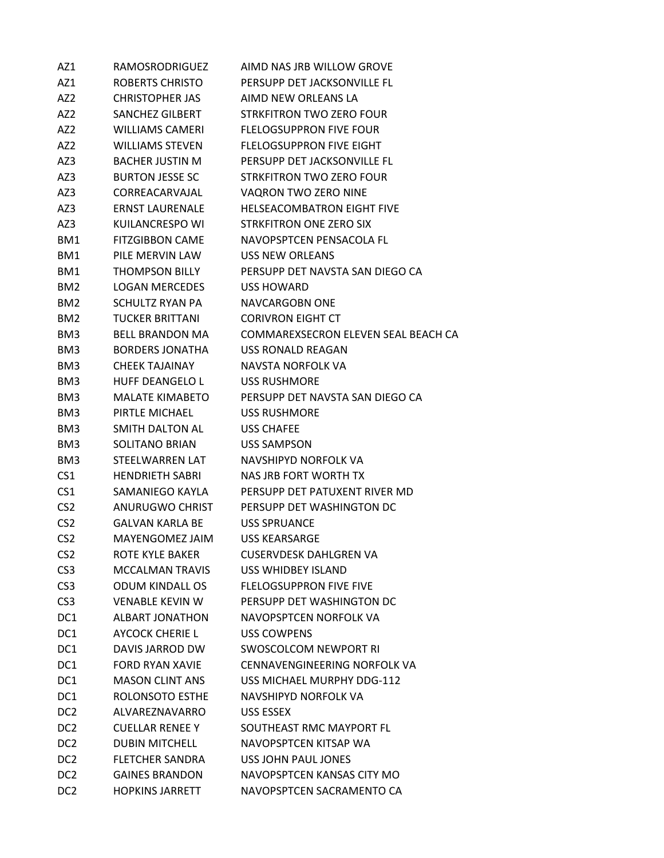| AZ1             | <b>RAMOSRODRIGUEZ</b>  | AIMD NAS JRB WILLOW GROVE           |
|-----------------|------------------------|-------------------------------------|
| AZ1             | ROBERTS CHRISTO        | PERSUPP DET JACKSONVILLE FL         |
| AZ <sub>2</sub> | CHRISTOPHER JAS        | AIMD NEW ORLEANS LA                 |
| AZ <sub>2</sub> | SANCHEZ GILBERT        | STRKFITRON TWO ZERO FOUR            |
| AZ2             | <b>WILLIAMS CAMERI</b> | <b>FLELOGSUPPRON FIVE FOUR</b>      |
| AZ2             | <b>WILLIAMS STEVEN</b> | <b>FLELOGSUPPRON FIVE EIGHT</b>     |
| AZ3             | <b>BACHER JUSTIN M</b> | PERSUPP DET JACKSONVILLE FL         |
| AZ3             | <b>BURTON JESSE SC</b> | STRKFITRON TWO ZERO FOUR            |
| AZ3             | CORREACARVAJAL         | VAQRON TWO ZERO NINE                |
| AZ3             | <b>ERNST LAURENALE</b> | <b>HELSEACOMBATRON EIGHT FIVE</b>   |
| AZ3             | KUILANCRESPO WI        | STRKFITRON ONE ZERO SIX             |
| BM1             | <b>FITZGIBBON CAME</b> | NAVOPSPTCEN PENSACOLA FL            |
| BM1             | PILE MERVIN LAW        | USS NEW ORLEANS                     |
| BM1             | <b>THOMPSON BILLY</b>  | PERSUPP DET NAVSTA SAN DIEGO CA     |
| BM <sub>2</sub> | <b>LOGAN MERCEDES</b>  | <b>USS HOWARD</b>                   |
| BM <sub>2</sub> | SCHULTZ RYAN PA        | NAVCARGOBN ONE                      |
| BM <sub>2</sub> | TUCKER BRITTANI        | <b>CORIVRON EIGHT CT</b>            |
| BM3             | <b>BELL BRANDON MA</b> | COMMAREXSECRON ELEVEN SEAL BEACH CA |
| BM3             | <b>BORDERS JONATHA</b> | USS RONALD REAGAN                   |
| BM3             | CHEEK TAJAINAY         | NAVSTA NORFOLK VA                   |
| BM3             | <b>HUFF DEANGELO L</b> | <b>USS RUSHMORE</b>                 |
| BM3             | <b>MALATE KIMABETO</b> | PERSUPP DET NAVSTA SAN DIEGO CA     |
| BM3             | PIRTLE MICHAEL         | <b>USS RUSHMORE</b>                 |
| BM3             | SMITH DALTON AL        | <b>USS CHAFEE</b>                   |
| BM <sub>3</sub> | <b>SOLITANO BRIAN</b>  | USS SAMPSON                         |
| BM3             | STEELWARREN LAT        | NAVSHIPYD NORFOLK VA                |
| CS <sub>1</sub> | <b>HENDRIETH SABRI</b> | NAS JRB FORT WORTH TX               |
| CS <sub>1</sub> | SAMANIEGO KAYLA        | PERSUPP DET PATUXENT RIVER MD       |
| CS <sub>2</sub> | ANURUGWO CHRIST        | PERSUPP DET WASHINGTON DC           |
| CS <sub>2</sub> | <b>GALVAN KARLA BE</b> | USS SPRUANCE                        |
| CS <sub>2</sub> | MAYENGOMEZ JAIM        | <b>USS KEARSARGE</b>                |
| CS <sub>2</sub> | ROTE KYLE BAKER        | <b>CUSERVDESK DAHLGREN VA</b>       |
| CS <sub>3</sub> | <b>MCCALMAN TRAVIS</b> | <b>USS WHIDBEY ISLAND</b>           |
| CS <sub>3</sub> | <b>ODUM KINDALL OS</b> | <b>FLELOGSUPPRON FIVE FIVE</b>      |
| CS <sub>3</sub> | <b>VENABLE KEVIN W</b> | PERSUPP DET WASHINGTON DC           |
| DC1             | <b>ALBART JONATHON</b> | NAVOPSPTCEN NORFOLK VA              |
| DC1             | <b>AYCOCK CHERIE L</b> | <b>USS COWPENS</b>                  |
| DC1             | DAVIS JARROD DW        | <b>SWOSCOLCOM NEWPORT RI</b>        |
| DC1             | <b>FORD RYAN XAVIE</b> | CENNAVENGINEERING NORFOLK VA        |
| DC1             | <b>MASON CLINT ANS</b> | USS MICHAEL MURPHY DDG-112          |
| DC1             | ROLONSOTO ESTHE        | NAVSHIPYD NORFOLK VA                |
| DC2             | ALVAREZNAVARRO         | USS ESSEX                           |
| DC2             | <b>CUELLAR RENEE Y</b> | SOUTHEAST RMC MAYPORT FL            |
| DC <sub>2</sub> | <b>DUBIN MITCHELL</b>  | NAVOPSPTCEN KITSAP WA               |
| DC <sub>2</sub> | <b>FLETCHER SANDRA</b> | USS JOHN PAUL JONES                 |
| DC <sub>2</sub> | <b>GAINES BRANDON</b>  | NAVOPSPTCEN KANSAS CITY MO          |
| DC <sub>2</sub> | <b>HOPKINS JARRETT</b> | NAVOPSPTCEN SACRAMENTO CA           |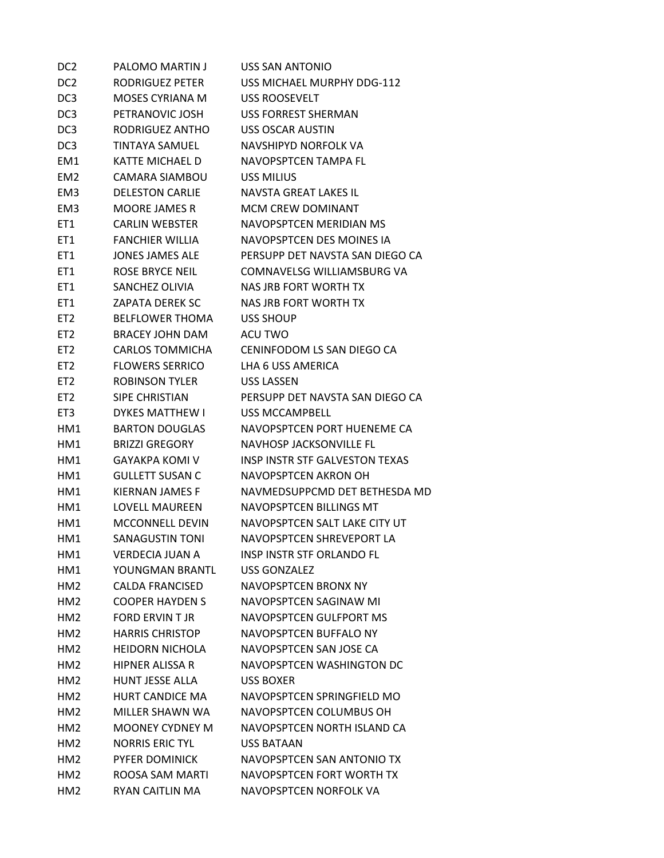| DC <sub>2</sub> | PALOMO MARTIN J        | <b>USS SAN ANTONIO</b>                |
|-----------------|------------------------|---------------------------------------|
| DC <sub>2</sub> | RODRIGUEZ PETER        | USS MICHAEL MURPHY DDG-112            |
| DC <sub>3</sub> | <b>MOSES CYRIANA M</b> | USS ROOSEVELT                         |
| DC <sub>3</sub> | PETRANOVIC JOSH        | <b>USS FORREST SHERMAN</b>            |
| DC <sub>3</sub> | RODRIGUEZ ANTHO        | <b>USS OSCAR AUSTIN</b>               |
| DC <sub>3</sub> | <b>TINTAYA SAMUEL</b>  | NAVSHIPYD NORFOLK VA                  |
| EM <sub>1</sub> | KATTE MICHAEL D        | NAVOPSPTCEN TAMPA FL                  |
| EM <sub>2</sub> | <b>CAMARA SIAMBOU</b>  | USS MILIUS                            |
| EM <sub>3</sub> | <b>DELESTON CARLIE</b> | NAVSTA GREAT LAKES IL                 |
| EM <sub>3</sub> | <b>MOORE JAMES R</b>   | <b>MCM CREW DOMINANT</b>              |
| ET <sub>1</sub> | <b>CARLIN WEBSTER</b>  | NAVOPSPTCEN MERIDIAN MS               |
| ET1             | FANCHIER WILLIA        | NAVOPSPTCEN DES MOINES IA             |
| ET <sub>1</sub> | <b>JONES JAMES ALE</b> | PERSUPP DET NAVSTA SAN DIEGO CA       |
| ET <sub>1</sub> | <b>ROSE BRYCE NEIL</b> | COMNAVELSG WILLIAMSBURG VA            |
| ET1             | SANCHEZ OLIVIA         | <b>NAS JRB FORT WORTH TX</b>          |
| ET1             | <b>ZAPATA DEREK SC</b> | NAS JRB FORT WORTH TX                 |
| ET <sub>2</sub> | <b>BELFLOWER THOMA</b> | USS SHOUP                             |
| ET <sub>2</sub> | BRACEY JOHN DAM        | ACU TWO                               |
| ET <sub>2</sub> | <b>CARLOS TOMMICHA</b> | CENINFODOM LS SAN DIEGO CA            |
| ET <sub>2</sub> | <b>FLOWERS SERRICO</b> | LHA 6 USS AMERICA                     |
| ET <sub>2</sub> | <b>ROBINSON TYLER</b>  | <b>USS LASSEN</b>                     |
| ET <sub>2</sub> | SIPE CHRISTIAN         | PERSUPP DET NAVSTA SAN DIEGO CA       |
| ET <sub>3</sub> | <b>DYKES MATTHEW I</b> | <b>USS MCCAMPBELL</b>                 |
| HM1             | <b>BARTON DOUGLAS</b>  | NAVOPSPTCEN PORT HUENEME CA           |
| HM1             | <b>BRIZZI GREGORY</b>  | <b>NAVHOSP JACKSONVILLE FL</b>        |
| HM1             | <b>GAYAKPA KOMI V</b>  | <b>INSP INSTR STF GALVESTON TEXAS</b> |
| HM1             | <b>GULLETT SUSAN C</b> | NAVOPSPTCEN AKRON OH                  |
| HM1             | KIERNAN JAMES F        | NAVMEDSUPPCMD DET BETHESDA MD         |
| HM1             | LOVFLL MAURFFN         | NAVOPSPTCEN BILLINGS MT               |
| HM1             | <b>MCCONNELL DEVIN</b> | NAVOPSPTCEN SALT LAKE CITY UT         |
| HM1             | <b>SANAGUSTIN TONI</b> | NAVOPSPTCEN SHREVEPORT LA             |
| HM1             | <b>VERDECIA JUAN A</b> | <b>INSP INSTR STF ORLANDO FL</b>      |
| HM1             | YOUNGMAN BRANTL        | <b>USS GONZALEZ</b>                   |
| HM2             | <b>CALDA FRANCISED</b> | NAVOPSPTCEN BRONX NY                  |
| HM2             | <b>COOPER HAYDEN S</b> | NAVOPSPTCEN SAGINAW MI                |
| HM <sub>2</sub> | <b>FORD ERVIN T JR</b> | NAVOPSPTCEN GULFPORT MS               |
| HM2             | <b>HARRIS CHRISTOP</b> | NAVOPSPTCEN BUFFALO NY                |
| HM <sub>2</sub> | <b>HEIDORN NICHOLA</b> | NAVOPSPTCEN SAN JOSE CA               |
| HM <sub>2</sub> | <b>HIPNER ALISSA R</b> | NAVOPSPTCEN WASHINGTON DC             |
| HM2             | <b>HUNT JESSE ALLA</b> | <b>USS BOXER</b>                      |
| HM <sub>2</sub> | <b>HURT CANDICE MA</b> | NAVOPSPTCEN SPRINGFIELD MO            |
| HM <sub>2</sub> | MILLER SHAWN WA        | NAVOPSPTCEN COLUMBUS OH               |
| HM <sub>2</sub> | <b>MOONEY CYDNEY M</b> | NAVOPSPTCEN NORTH ISLAND CA           |
| HM <sub>2</sub> | <b>NORRIS ERIC TYL</b> | USS BATAAN                            |
| HM <sub>2</sub> | PYFER DOMINICK         | NAVOPSPTCEN SAN ANTONIO TX            |
| HM <sub>2</sub> | ROOSA SAM MARTI        | NAVOPSPTCEN FORT WORTH TX             |
| HM <sub>2</sub> | RYAN CAITLIN MA        | NAVOPSPTCEN NORFOLK VA                |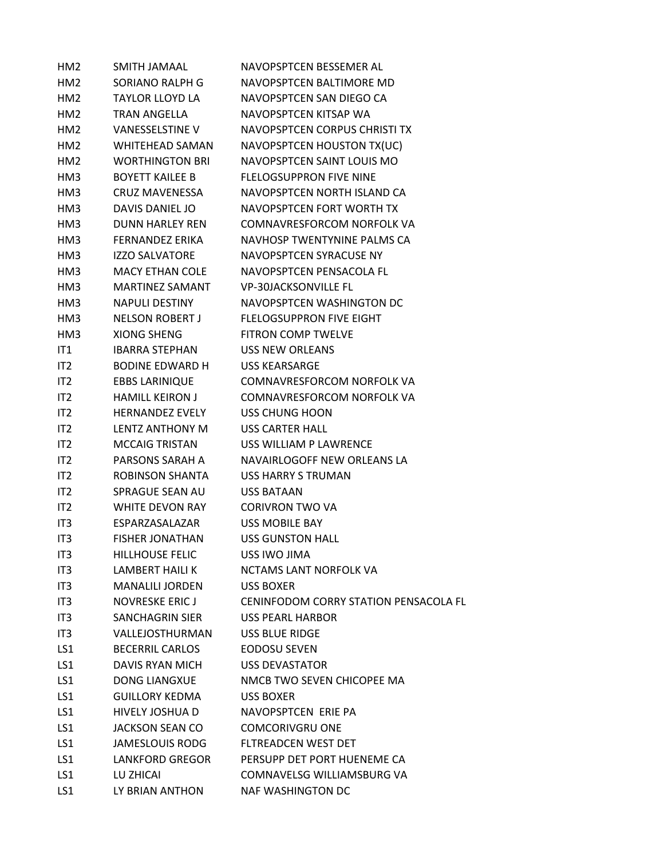| HM <sub>2</sub> | SMITH JAMAAL           | NAVOPSPTCEN BESSEMER AL                      |
|-----------------|------------------------|----------------------------------------------|
| HM <sub>2</sub> | SORIANO RALPH G        | NAVOPSPTCEN BALTIMORE MD                     |
| HM2             | <b>TAYLOR LLOYD LA</b> | NAVOPSPTCEN SAN DIEGO CA                     |
| HM <sub>2</sub> | <b>TRAN ANGELLA</b>    | NAVOPSPTCEN KITSAP WA                        |
| HM2             | <b>VANESSELSTINE V</b> | NAVOPSPTCEN CORPUS CHRISTI TX                |
| HM2             | <b>WHITEHEAD SAMAN</b> | NAVOPSPTCEN HOUSTON TX(UC)                   |
| HM2             | <b>WORTHINGTON BRI</b> | NAVOPSPTCEN SAINT LOUIS MO                   |
| HM3             | <b>BOYETT KAILEE B</b> | <b>FLELOGSUPPRON FIVE NINE</b>               |
| HM3             | <b>CRUZ MAVENESSA</b>  | NAVOPSPTCEN NORTH ISLAND CA                  |
| HM3             | DAVIS DANIEL JO        | NAVOPSPTCEN FORT WORTH TX                    |
| HM3             | <b>DUNN HARLEY REN</b> | COMNAVRESFORCOM NORFOLK VA                   |
| HM3             | FERNANDEZ ERIKA        | NAVHOSP TWENTYNINE PALMS CA                  |
| HM3             | <b>IZZO SALVATORE</b>  | NAVOPSPTCEN SYRACUSE NY                      |
| HM3             | <b>MACY ETHAN COLE</b> | NAVOPSPTCEN PENSACOLA FL                     |
| HM3             | <b>MARTINEZ SAMANT</b> | <b>VP-30JACKSONVILLE FL</b>                  |
| HM3             | <b>NAPULI DESTINY</b>  | NAVOPSPTCEN WASHINGTON DC                    |
| HM3             | <b>NELSON ROBERT J</b> | <b>FLELOGSUPPRON FIVE EIGHT</b>              |
| HM3             | <b>XIONG SHENG</b>     | <b>FITRON COMP TWELVE</b>                    |
| IT1             | <b>IBARRA STEPHAN</b>  | <b>USS NEW ORLEANS</b>                       |
| IT2             | <b>BODINE EDWARD H</b> | <b>USS KEARSARGE</b>                         |
| IT <sub>2</sub> | <b>EBBS LARINIQUE</b>  | COMNAVRESFORCOM NORFOLK VA                   |
| IT <sub>2</sub> | <b>HAMILL KEIRON J</b> | COMNAVRESFORCOM NORFOLK VA                   |
| IT <sub>2</sub> | <b>HERNANDEZ EVELY</b> | USS CHUNG HOON                               |
| IT <sub>2</sub> | LENTZ ANTHONY M        | <b>USS CARTER HALL</b>                       |
| IT2             | <b>MCCAIG TRISTAN</b>  | USS WILLIAM P LAWRENCE                       |
| IT <sub>2</sub> | PARSONS SARAH A        | NAVAIRLOGOFF NEW ORLEANS LA                  |
| IT <sub>2</sub> | ROBINSON SHANTA        | USS HARRY S TRUMAN                           |
| IT <sub>2</sub> | <b>SPRAGUE SEAN AU</b> | <b>USS BATAAN</b>                            |
| IT <sub>2</sub> | WHITE DEVON RAY        | <b>CORIVRON TWO VA</b>                       |
| IT3             | ESPARZASALAZAR         | <b>USS MOBILE BAY</b>                        |
| IT3             | <b>FISHER JONATHAN</b> | <b>USS GUNSTON HALL</b>                      |
| IT3             | <b>HILLHOUSE FELIC</b> | USS IWO JIMA                                 |
| IT <sub>3</sub> | LAMBERT HAILI K        | NCTAMS LANT NORFOLK VA                       |
| IT <sub>3</sub> | <b>MANALILI JORDEN</b> | USS BOXER                                    |
| IT <sub>3</sub> | <b>NOVRESKE ERICJ</b>  | <b>CENINFODOM CORRY STATION PENSACOLA FL</b> |
| IT3             | SANCHAGRIN SIER        | <b>USS PEARL HARBOR</b>                      |
| IT3             | VALLEJOSTHURMAN        | <b>USS BLUE RIDGE</b>                        |
| LS1             | <b>BECERRIL CARLOS</b> | <b>EODOSU SEVEN</b>                          |
| LS1             | DAVIS RYAN MICH        | <b>USS DEVASTATOR</b>                        |
| LS1             | <b>DONG LIANGXUE</b>   | NMCB TWO SEVEN CHICOPEE MA                   |
| LS1             | <b>GUILLORY KEDMA</b>  | <b>USS BOXER</b>                             |
| LS1             | HIVELY JOSHUA D        | NAVOPSPTCEN ERIE PA                          |
| LS1             | <b>JACKSON SEAN CO</b> | <b>COMCORIVGRU ONE</b>                       |
| LS1             | JAMESLOUIS RODG        | FLTREADCEN WEST DET                          |
| LS1             | <b>LANKFORD GREGOR</b> | PERSUPP DET PORT HUENEME CA                  |
| LS1             | LU ZHICAI              | COMNAVELSG WILLIAMSBURG VA                   |
| LS1             | LY BRIAN ANTHON        | <b>NAF WASHINGTON DC</b>                     |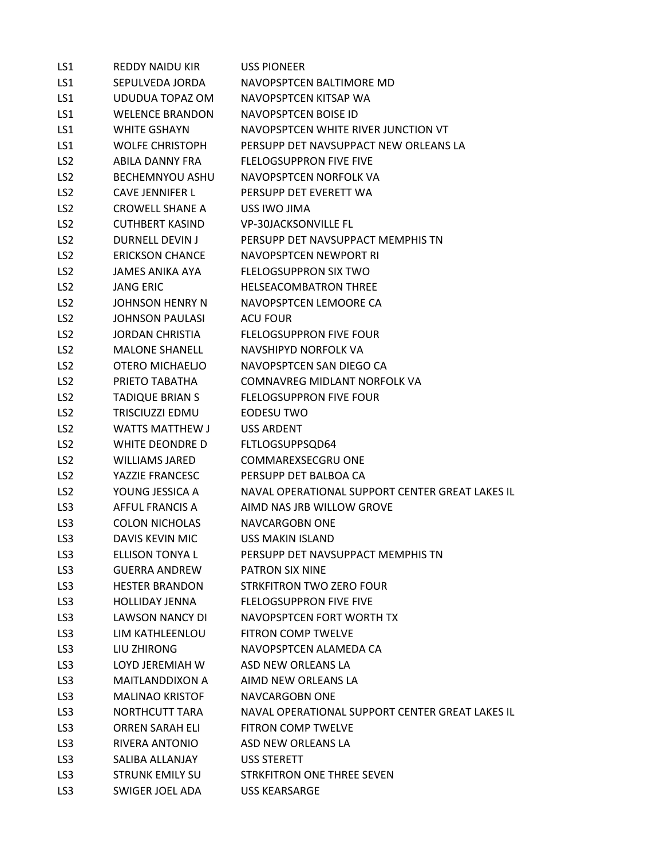| LS1             | <b>REDDY NAIDU KIR</b> | <b>USS PIONEER</b>                              |
|-----------------|------------------------|-------------------------------------------------|
| LS1             | SEPULVEDA JORDA        | NAVOPSPTCEN BALTIMORE MD                        |
| LS1             | UDUDUA TOPAZ OM        | NAVOPSPTCEN KITSAP WA                           |
| LS1             | <b>WELENCE BRANDON</b> | NAVOPSPTCEN BOISE ID                            |
| LS1             | <b>WHITE GSHAYN</b>    | NAVOPSPTCEN WHITE RIVER JUNCTION VT             |
| LS1             | <b>WOLFE CHRISTOPH</b> | PERSUPP DET NAVSUPPACT NEW ORLEANS LA           |
| LS <sub>2</sub> | ABILA DANNY FRA        | <b>FLELOGSUPPRON FIVE FIVE</b>                  |
| LS <sub>2</sub> | BECHEMNYOU ASHU        | NAVOPSPTCEN NORFOLK VA                          |
| LS <sub>2</sub> | <b>CAVE JENNIFER L</b> | PERSUPP DET EVERETT WA                          |
| LS <sub>2</sub> | <b>CROWELL SHANE A</b> | USS IWO JIMA                                    |
| LS <sub>2</sub> | <b>CUTHBERT KASIND</b> | <b>VP-30JACKSONVILLE FL</b>                     |
| LS <sub>2</sub> | DURNELL DEVIN J        | PERSUPP DET NAVSUPPACT MEMPHIS TN               |
| LS <sub>2</sub> | <b>ERICKSON CHANCE</b> | NAVOPSPTCEN NEWPORT RI                          |
| LS <sub>2</sub> | JAMES ANIKA AYA        | <b>FLELOGSUPPRON SIX TWO</b>                    |
| LS <sub>2</sub> | <b>JANG ERIC</b>       | <b>HELSEACOMBATRON THREE</b>                    |
| LS <sub>2</sub> | JOHNSON HENRY N        | NAVOPSPTCEN LEMOORE CA                          |
| LS <sub>2</sub> | JOHNSON PAULASI        | ACU FOUR                                        |
| LS <sub>2</sub> | JORDAN CHRISTIA        | <b>FLELOGSUPPRON FIVE FOUR</b>                  |
| LS <sub>2</sub> | <b>MALONE SHANELL</b>  | NAVSHIPYD NORFOLK VA                            |
| LS <sub>2</sub> | OTERO MICHAELIO        | NAVOPSPTCEN SAN DIEGO CA                        |
| LS <sub>2</sub> | PRIETO TABATHA         | <b>COMNAVREG MIDLANT NORFOLK VA</b>             |
| LS <sub>2</sub> | <b>TADIQUE BRIAN S</b> | <b>FLELOGSUPPRON FIVE FOUR</b>                  |
| LS <sub>2</sub> | TRISCIUZZI EDMU        | EODESU TWO                                      |
| LS <sub>2</sub> | <b>WATTS MATTHEW J</b> | <b>USS ARDENT</b>                               |
| LS <sub>2</sub> | WHITE DEONDRE D        | FLTLOGSUPPSQD64                                 |
| LS <sub>2</sub> | <b>WILLIAMS JARED</b>  | COMMAREXSECGRU ONE                              |
| LS <sub>2</sub> | YAZZIE FRANCESC        | PERSUPP DET BALBOA CA                           |
| LS <sub>2</sub> | YOUNG JESSICA A        | NAVAL OPERATIONAL SUPPORT CENTER GREAT LAKES IL |
| LS3             | AFFUL FRANCIS A        | AIMD NAS JRB WILLOW GROVE                       |
| LS3             | <b>COLON NICHOLAS</b>  | NAVCARGOBN ONE                                  |
| LS3             | <b>DAVIS KEVIN MIC</b> | <b>USS MAKIN ISLAND</b>                         |
| LS3             | ELLISON TONYA L        | PERSUPP DET NAVSUPPACT MEMPHIS TN               |
| LS3             | <b>GUERRA ANDREW</b>   | PATRON SIX NINE                                 |
| LS3             | <b>HESTER BRANDON</b>  | <b>STRKFITRON TWO ZERO FOUR</b>                 |
| LS3             | <b>HOLLIDAY JENNA</b>  | <b>FLELOGSUPPRON FIVE FIVE</b>                  |
| LS3             | <b>LAWSON NANCY DI</b> | NAVOPSPTCEN FORT WORTH TX                       |
| LS3             | LIM KATHLEENLOU        | <b>FITRON COMP TWELVE</b>                       |
| LS3             | LIU ZHIRONG            | NAVOPSPTCEN ALAMEDA CA                          |
| LS3             | LOYD JEREMIAH W        | ASD NEW ORLEANS LA                              |
| LS3             | MAITLANDDIXON A        | AIMD NEW ORLEANS LA                             |
| LS3             | <b>MALINAO KRISTOF</b> | <b>NAVCARGOBN ONE</b>                           |
| LS3             | <b>NORTHCUTT TARA</b>  | NAVAL OPERATIONAL SUPPORT CENTER GREAT LAKES IL |
| LS3             | <b>ORREN SARAH ELI</b> | FITRON COMP TWELVE                              |
| LS3             | RIVERA ANTONIO         | ASD NEW ORLEANS LA                              |
| LS3             | SALIBA ALLANJAY        | <b>USS STERETT</b>                              |
| LS3             | <b>STRUNK EMILY SU</b> | STRKFITRON ONE THREE SEVEN                      |
| LS <sub>3</sub> | SWIGER JOEL ADA        | <b>USS KEARSARGE</b>                            |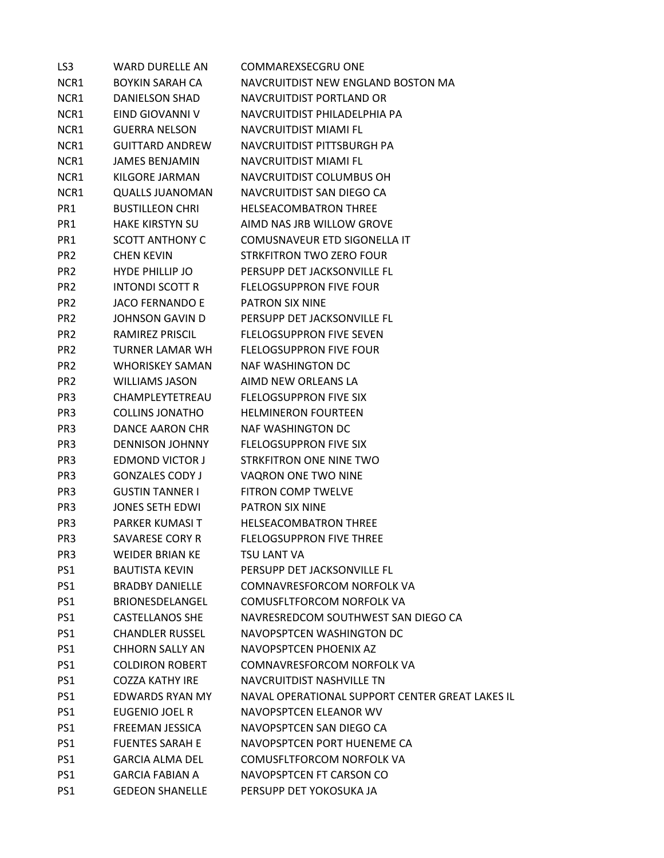| LS3             | <b>WARD DURELLE AN</b> | COMMAREXSECGRU ONE                              |
|-----------------|------------------------|-------------------------------------------------|
| NCR1            | BOYKIN SARAH CA        | NAVCRUITDIST NEW ENGLAND BOSTON MA              |
| NCR1            | <b>DANIELSON SHAD</b>  | NAVCRUITDIST PORTLAND OR                        |
| NCR1            | EIND GIOVANNI V        | NAVCRUITDIST PHILADELPHIA PA                    |
| NCR1            | <b>GUERRA NELSON</b>   | NAVCRUITDIST MIAMI FL                           |
| NCR1            | GUITTARD ANDREW        | NAVCRUITDIST PITTSBURGH PA                      |
| NCR1            | <b>JAMES BENJAMIN</b>  | NAVCRUITDIST MIAMI FL                           |
| NCR1            | KILGORE JARMAN         | NAVCRUITDIST COLUMBUS OH                        |
| NCR1            | <b>QUALLS JUANOMAN</b> | NAVCRUITDIST SAN DIEGO CA                       |
| PR1             | <b>BUSTILLEON CHRI</b> | <b>HELSEACOMBATRON THREE</b>                    |
| PR1             | <b>HAKE KIRSTYN SU</b> | AIMD NAS JRB WILLOW GROVE                       |
| PR1             | <b>SCOTT ANTHONY C</b> | COMUSNAVEUR ETD SIGONELLA IT                    |
| PR <sub>2</sub> | <b>CHEN KEVIN</b>      | STRKFITRON TWO ZERO FOUR                        |
| PR <sub>2</sub> | <b>HYDE PHILLIP JO</b> | PERSUPP DET JACKSONVILLE FL                     |
| PR <sub>2</sub> | <b>INTONDI SCOTT R</b> | <b>FLELOGSUPPRON FIVE FOUR</b>                  |
| PR <sub>2</sub> | <b>JACO FERNANDO E</b> | PATRON SIX NINE                                 |
| PR <sub>2</sub> | JOHNSON GAVIN D        | PERSUPP DET JACKSONVILLE FL                     |
| PR <sub>2</sub> | RAMIREZ PRISCIL        | <b>FLELOGSUPPRON FIVE SEVEN</b>                 |
| PR <sub>2</sub> | TURNER LAMAR WH        | <b>FLELOGSUPPRON FIVE FOUR</b>                  |
| PR <sub>2</sub> | <b>WHORISKEY SAMAN</b> | NAF WASHINGTON DC                               |
| PR <sub>2</sub> | <b>WILLIAMS JASON</b>  | AIMD NEW ORLEANS LA                             |
| PR <sub>3</sub> | CHAMPLEYTETREAU        | <b>FLELOGSUPPRON FIVE SIX</b>                   |
| PR <sub>3</sub> | <b>COLLINS JONATHO</b> | <b>HELMINERON FOURTEEN</b>                      |
| PR <sub>3</sub> | DANCE AARON CHR        | <b>NAF WASHINGTON DC</b>                        |
| PR <sub>3</sub> | <b>DENNISON JOHNNY</b> | <b>FLELOGSUPPRON FIVE SIX</b>                   |
| PR <sub>3</sub> | <b>EDMOND VICTOR J</b> | STRKFITRON ONE NINE TWO                         |
| PR <sub>3</sub> | <b>GONZALES CODY J</b> | VAQRON ONE TWO NINE                             |
| PR <sub>3</sub> | <b>GUSTIN TANNER I</b> | <b>FITRON COMP TWELVE</b>                       |
| PR <sub>3</sub> | JONES SETH EDWI        | <b>PATRON SIX NINE</b>                          |
| PR <sub>3</sub> | PARKER KUMASI T        | <b>HELSEACOMBATRON THREE</b>                    |
| PR <sub>3</sub> | SAVARESE CORY R        | <b>FLELOGSUPPRON FIVE THREE</b>                 |
| PR <sub>3</sub> | <b>WEIDER BRIAN KE</b> | TSU LANT VA                                     |
| PS1             | <b>BAUTISTA KEVIN</b>  | PERSUPP DET JACKSONVILLE FL                     |
| PS1             | <b>BRADBY DANIELLE</b> | COMNAVRESFORCOM NORFOLK VA                      |
| PS1             | BRIONESDELANGEL        | COMUSFLTFORCOM NORFOLK VA                       |
| PS1             | <b>CASTELLANOS SHE</b> | NAVRESREDCOM SOUTHWEST SAN DIEGO CA             |
| PS1             | <b>CHANDLER RUSSEL</b> | NAVOPSPTCEN WASHINGTON DC                       |
| PS1             | <b>CHHORN SALLY AN</b> | NAVOPSPTCEN PHOENIX AZ                          |
| PS1             | <b>COLDIRON ROBERT</b> | COMNAVRESFORCOM NORFOLK VA                      |
| PS1             | <b>COZZA KATHY IRE</b> | NAVCRUITDIST NASHVILLE TN                       |
| PS1             | <b>EDWARDS RYAN MY</b> | NAVAL OPERATIONAL SUPPORT CENTER GREAT LAKES IL |
| PS1             | EUGENIO JOEL R         | NAVOPSPTCEN ELEANOR WV                          |
| PS1             | <b>FREEMAN JESSICA</b> | NAVOPSPTCEN SAN DIEGO CA                        |
| PS1             | <b>FUENTES SARAH E</b> | NAVOPSPTCEN PORT HUENEME CA                     |
| PS1             | <b>GARCIA ALMA DEL</b> | COMUSFLTFORCOM NORFOLK VA                       |
| PS1             | <b>GARCIA FABIAN A</b> | NAVOPSPTCEN FT CARSON CO                        |
| PS1             | <b>GEDEON SHANELLE</b> | PERSUPP DET YOKOSUKA JA                         |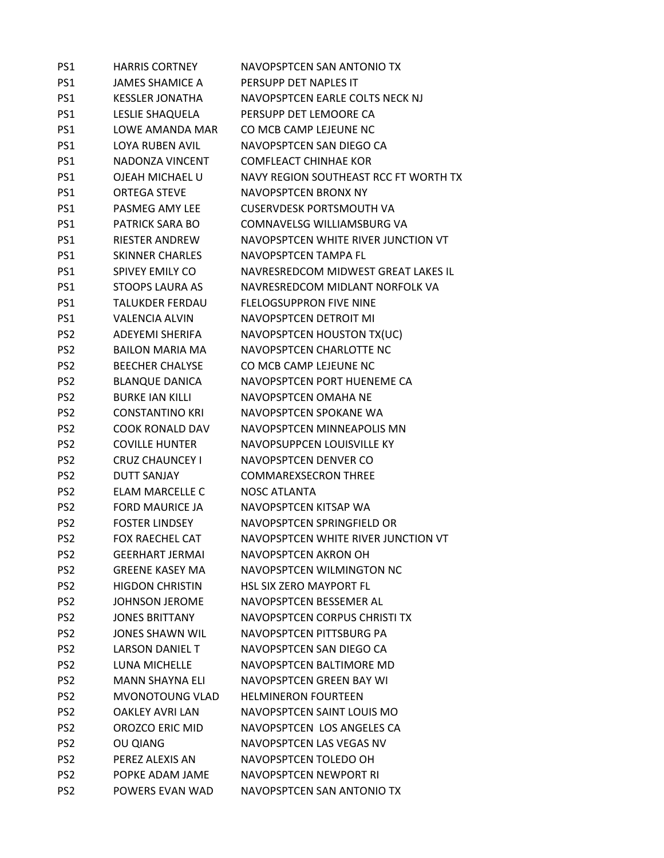| PS1             | <b>HARRIS CORTNEY</b>  | NAVOPSPTCEN SAN ANTONIO TX            |
|-----------------|------------------------|---------------------------------------|
| PS1             | <b>JAMES SHAMICE A</b> | PERSUPP DET NAPLES IT                 |
| PS1             | <b>KESSLER JONATHA</b> | NAVOPSPTCEN EARLE COLTS NECK NJ       |
| PS1             | LESLIE SHAQUELA        | PERSUPP DET LEMOORE CA                |
| PS1             | <b>LOWE AMANDA MAR</b> | CO MCB CAMP LEJEUNE NC                |
| PS1             | <b>LOYA RUBEN AVIL</b> | NAVOPSPTCEN SAN DIEGO CA              |
| PS1             | NADONZA VINCENT        | <b>COMFLEACT CHINHAE KOR</b>          |
| PS1             | OJEAH MICHAEL U        | NAVY REGION SOUTHEAST RCC FT WORTH TX |
| PS1             | <b>ORTEGA STEVE</b>    | <b>NAVOPSPTCEN BRONX NY</b>           |
| PS1             | PASMEG AMY LEE         | <b>CUSERVDESK PORTSMOUTH VA</b>       |
| PS1             | <b>PATRICK SARA BO</b> | COMNAVELSG WILLIAMSBURG VA            |
| PS1             | <b>RIESTER ANDREW</b>  | NAVOPSPTCEN WHITE RIVER JUNCTION VT   |
| PS1             | <b>SKINNER CHARLES</b> | NAVOPSPTCEN TAMPA FL                  |
| PS1             | <b>SPIVEY EMILY CO</b> | NAVRESREDCOM MIDWEST GREAT LAKES IL   |
| PS1             | <b>STOOPS LAURA AS</b> | NAVRESREDCOM MIDLANT NORFOLK VA       |
| PS1             | <b>TALUKDER FERDAU</b> | <b>FLELOGSUPPRON FIVE NINE</b>        |
| PS1             | <b>VALENCIA ALVIN</b>  | NAVOPSPTCEN DETROIT MI                |
| PS <sub>2</sub> | <b>ADEYEMI SHERIFA</b> | NAVOPSPTCEN HOUSTON TX(UC)            |
| PS <sub>2</sub> | <b>BAILON MARIA MA</b> | NAVOPSPTCEN CHARLOTTE NC              |
| PS <sub>2</sub> | <b>BEECHER CHALYSE</b> | CO MCB CAMP LEJEUNE NC                |
| PS <sub>2</sub> | <b>BLANQUE DANICA</b>  | NAVOPSPTCEN PORT HUENEME CA           |
| PS <sub>2</sub> | <b>BURKE IAN KILLI</b> | NAVOPSPTCEN OMAHA NE                  |
| PS <sub>2</sub> | <b>CONSTANTINO KRI</b> | NAVOPSPTCEN SPOKANE WA                |
| PS <sub>2</sub> | <b>COOK RONALD DAV</b> | NAVOPSPTCEN MINNEAPOLIS MN            |
| PS <sub>2</sub> | <b>COVILLE HUNTER</b>  | NAVOPSUPPCEN LOUISVILLE KY            |
| PS <sub>2</sub> | <b>CRUZ CHAUNCEY I</b> | NAVOPSPTCEN DENVER CO                 |
| PS <sub>2</sub> | <b>DUTT SANJAY</b>     | <b>COMMAREXSECRON THREE</b>           |
| PS <sub>2</sub> | <b>ELAM MARCELLE C</b> | <b>NOSC ATLANTA</b>                   |
| PS <sub>2</sub> | <b>FORD MAURICE JA</b> | NAVOPSPTCEN KITSAP WA                 |
| PS <sub>2</sub> | <b>FOSTER LINDSEY</b>  | NAVOPSPTCEN SPRINGFIELD OR            |
| PS <sub>2</sub> | <b>FOX RAECHEL CAT</b> | NAVOPSPTCEN WHITE RIVER JUNCTION VT   |
| PS <sub>2</sub> | <b>GEERHART JERMAI</b> | NAVOPSPTCEN AKRON OH                  |
| PS <sub>2</sub> | <b>GREENE KASEY MA</b> | NAVOPSPTCEN WILMINGTON NC             |
| PS <sub>2</sub> | <b>HIGDON CHRISTIN</b> | <b>HSL SIX ZERO MAYPORT FL</b>        |
| PS <sub>2</sub> | <b>JOHNSON JEROME</b>  | NAVOPSPTCEN BESSEMER AL               |
| PS <sub>2</sub> | <b>JONES BRITTANY</b>  | NAVOPSPTCEN CORPUS CHRISTI TX         |
| PS <sub>2</sub> | JONES SHAWN WIL        | NAVOPSPTCEN PITTSBURG PA              |
| PS <sub>2</sub> | LARSON DANIEL T        | NAVOPSPTCEN SAN DIEGO CA              |
| PS <sub>2</sub> | LUNA MICHELLE          | NAVOPSPTCEN BALTIMORE MD              |
| PS <sub>2</sub> | <b>MANN SHAYNA ELI</b> | NAVOPSPTCEN GREEN BAY WI              |
| PS <sub>2</sub> | <b>MVONOTOUNG VLAD</b> | <b>HELMINERON FOURTEEN</b>            |
| PS <sub>2</sub> | <b>OAKLEY AVRI LAN</b> | NAVOPSPTCEN SAINT LOUIS MO            |
| PS <sub>2</sub> | OROZCO ERIC MID        | NAVOPSPTCEN LOS ANGELES CA            |
| PS <sub>2</sub> | <b>OU QIANG</b>        | NAVOPSPTCEN LAS VEGAS NV              |
| PS <sub>2</sub> | PEREZ ALEXIS AN        | NAVOPSPTCEN TOLEDO OH                 |
| PS <sub>2</sub> | POPKE ADAM JAME        | NAVOPSPTCEN NEWPORT RI                |
| PS <sub>2</sub> | POWERS EVAN WAD        | NAVOPSPTCEN SAN ANTONIO TX            |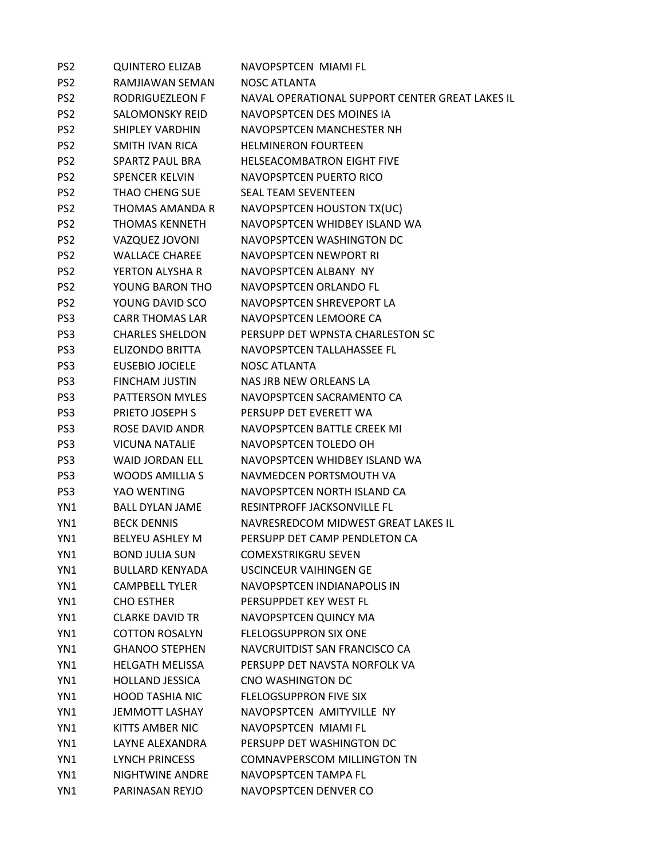| PS <sub>2</sub> | <b>QUINTERO ELIZAB</b> | NAVOPSPTCEN MIAMI FL                            |
|-----------------|------------------------|-------------------------------------------------|
| PS <sub>2</sub> | RAMJIAWAN SEMAN        | NOSC ATLANTA                                    |
| PS <sub>2</sub> | RODRIGUEZLEON F        | NAVAL OPERATIONAL SUPPORT CENTER GREAT LAKES IL |
| PS <sub>2</sub> | <b>SALOMONSKY REID</b> | NAVOPSPTCEN DES MOINES IA                       |
| PS <sub>2</sub> | <b>SHIPLEY VARDHIN</b> | NAVOPSPTCEN MANCHESTER NH                       |
| PS <sub>2</sub> | SMITH IVAN RICA        | <b>HELMINERON FOURTEEN</b>                      |
| PS <sub>2</sub> | <b>SPARTZ PAUL BRA</b> | <b>HELSEACOMBATRON EIGHT FIVE</b>               |
| PS <sub>2</sub> | <b>SPENCER KELVIN</b>  | NAVOPSPTCEN PUERTO RICO                         |
| PS <sub>2</sub> | <b>THAO CHENG SUE</b>  | <b>SEAL TEAM SEVENTEEN</b>                      |
| PS <sub>2</sub> | THOMAS AMANDA R        | NAVOPSPTCEN HOUSTON TX(UC)                      |
| PS <sub>2</sub> | <b>THOMAS KENNETH</b>  | NAVOPSPTCEN WHIDBEY ISLAND WA                   |
| PS <sub>2</sub> | VAZQUEZ JOVONI         | NAVOPSPTCEN WASHINGTON DC                       |
| PS <sub>2</sub> | <b>WALLACE CHAREE</b>  | NAVOPSPTCEN NEWPORT RI                          |
| PS <sub>2</sub> | YERTON ALYSHA R        | NAVOPSPTCEN ALBANY NY                           |
| PS <sub>2</sub> | YOUNG BARON THO        | NAVOPSPTCEN ORLANDO FL                          |
| PS <sub>2</sub> | YOUNG DAVID SCO        | NAVOPSPTCEN SHREVEPORT LA                       |
| PS <sub>3</sub> | <b>CARR THOMAS LAR</b> | NAVOPSPTCEN LEMOORE CA                          |
| PS <sub>3</sub> | <b>CHARLES SHELDON</b> | PERSUPP DET WPNSTA CHARLESTON SC                |
| PS3             | <b>ELIZONDO BRITTA</b> | NAVOPSPTCEN TALLAHASSEE FL                      |
| PS <sub>3</sub> | <b>EUSEBIO JOCIELE</b> | <b>NOSC ATLANTA</b>                             |
| PS <sub>3</sub> | <b>FINCHAM JUSTIN</b>  | NAS JRB NEW ORLEANS LA                          |
| PS <sub>3</sub> | PATTERSON MYLES        | NAVOPSPTCEN SACRAMENTO CA                       |
| PS3             | PRIETO JOSEPH S        | PERSUPP DET EVERETT WA                          |
| PS <sub>3</sub> | ROSE DAVID ANDR        | NAVOPSPTCEN BATTLE CREEK MI                     |
| PS <sub>3</sub> | <b>VICUNA NATALIE</b>  | NAVOPSPTCEN TOLEDO OH                           |
| PS <sub>3</sub> | <b>WAID JORDAN ELL</b> | NAVOPSPTCEN WHIDBEY ISLAND WA                   |
| PS <sub>3</sub> | <b>WOODS AMILLIAS</b>  | NAVMEDCEN PORTSMOUTH VA                         |
| PS3             | YAO WENTING            | NAVOPSPTCEN NORTH ISLAND CA                     |
| YN1             | <b>BALL DYLAN JAME</b> | RESINTPROFF JACKSONVILLE FL                     |
| YN1             | <b>BECK DENNIS</b>     | NAVRESREDCOM MIDWEST GREAT LAKES IL             |
| YN1             | <b>BELYEU ASHLEY M</b> | PERSUPP DET CAMP PENDLETON CA                   |
| YN1             | <b>BOND JULIA SUN</b>  | <b>COMEXSTRIKGRU SEVEN</b>                      |
| YN1             | <b>BULLARD KENYADA</b> | <b>USCINCEUR VAIHINGEN GE</b>                   |
| YN1             | <b>CAMPBELL TYLER</b>  | NAVOPSPTCEN INDIANAPOLIS IN                     |
| YN1             | <b>CHO ESTHER</b>      | PERSUPPDET KEY WEST FL                          |
| YN1             | <b>CLARKE DAVID TR</b> | NAVOPSPTCEN QUINCY MA                           |
| YN1             | <b>COTTON ROSALYN</b>  | <b>FLELOGSUPPRON SIX ONE</b>                    |
| YN1             | <b>GHANOO STEPHEN</b>  | NAVCRUITDIST SAN FRANCISCO CA                   |
| YN1             | <b>HELGATH MELISSA</b> | PERSUPP DET NAVSTA NORFOLK VA                   |
| YN1             | <b>HOLLAND JESSICA</b> | CNO WASHINGTON DC                               |
| YN1             | <b>HOOD TASHIA NIC</b> | <b>FLELOGSUPPRON FIVE SIX</b>                   |
| YN1             | <b>JEMMOTT LASHAY</b>  | NAVOPSPTCEN AMITYVILLE NY                       |
| YN1             | KITTS AMBER NIC        | NAVOPSPTCEN MIAMI FL                            |
| YN1             | LAYNE ALEXANDRA        | PERSUPP DET WASHINGTON DC                       |
| YN1             | <b>LYNCH PRINCESS</b>  | <b>COMNAVPERSCOM MILLINGTON TN</b>              |
| YN1             | NIGHTWINE ANDRE        | NAVOPSPTCEN TAMPA FL                            |
| YN1             | PARINASAN REYJO        | NAVOPSPTCEN DENVER CO                           |